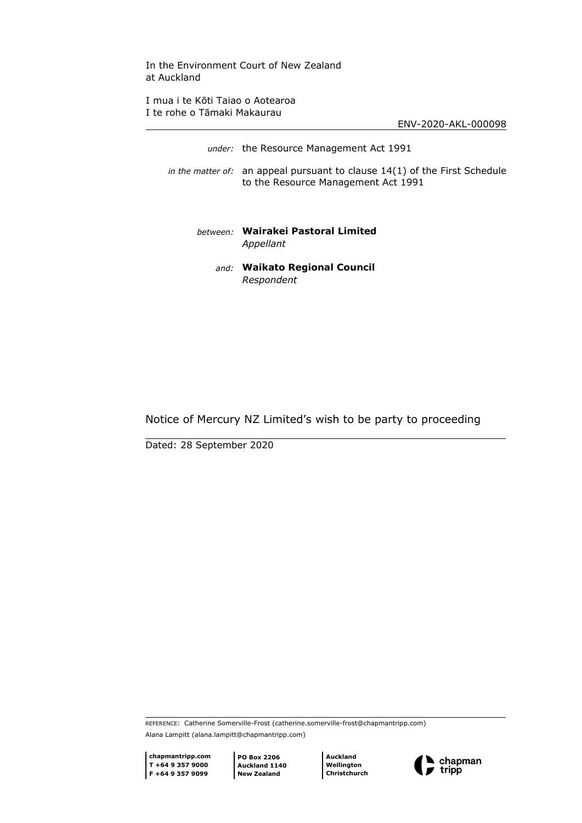In the Environment Court of New Zealand at Auckland

I mua i te Kōti Taiao o Aotearoa I te rohe o Tāmaki Makaurau

ENV-2020-AKL-000098

| under: the Resource Management Act 1991                                                                             |
|---------------------------------------------------------------------------------------------------------------------|
| in the matter of: an appeal pursuant to clause $14(1)$ of the First Schedule<br>to the Resource Management Act 1991 |
| hetween: Wairakei Pastoral Limited<br>Appellant                                                                     |
| and: Waikato Regional Council<br>Respondent                                                                         |

# Notice of Mercury NZ Limited's wish to be party to proceeding

Dated: 28 September 2020

REFERENCE: Catherine Somerville-Frost (catherine.somerville-frost@chapmantripp.com) Alana Lampitt (alana.lampitt@chapmantripp.com)

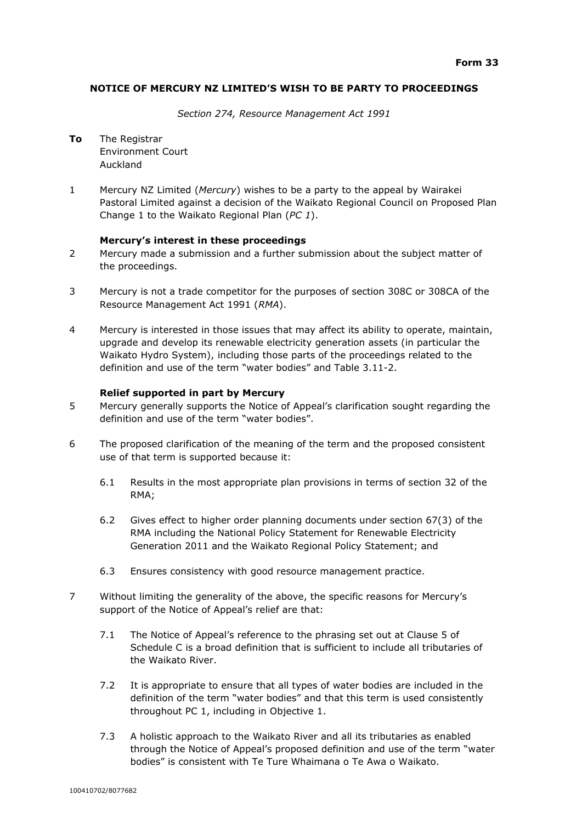## **NOTICE OF MERCURY NZ LIMITED'S WISH TO BE PARTY TO PROCEEDINGS**

*Section 274, Resource Management Act 1991*

**To** The Registrar Environment Court Auckland

1 Mercury NZ Limited (*Mercury*) wishes to be a party to the appeal by Wairakei Pastoral Limited against a decision of the Waikato Regional Council on Proposed Plan Change 1 to the Waikato Regional Plan (*PC 1*).

#### **Mercury's interest in these proceedings**

- 2 Mercury made a submission and a further submission about the subject matter of the proceedings.
- 3 Mercury is not a trade competitor for the purposes of section 308C or 308CA of the Resource Management Act 1991 (*RMA*).
- 4 Mercury is interested in those issues that may affect its ability to operate, maintain, upgrade and develop its renewable electricity generation assets (in particular the Waikato Hydro System), including those parts of the proceedings related to the definition and use of the term "water bodies" and Table 3.11-2.

## **Relief supported in part by Mercury**

- 5 Mercury generally supports the Notice of Appeal's clarification sought regarding the definition and use of the term "water bodies".
- 6 The proposed clarification of the meaning of the term and the proposed consistent use of that term is supported because it:
	- 6.1 Results in the most appropriate plan provisions in terms of section 32 of the RMA;
	- 6.2 Gives effect to higher order planning documents under section 67(3) of the RMA including the National Policy Statement for Renewable Electricity Generation 2011 and the Waikato Regional Policy Statement; and
	- 6.3 Ensures consistency with good resource management practice.
- 7 Without limiting the generality of the above, the specific reasons for Mercury's support of the Notice of Appeal's relief are that:
	- 7.1 The Notice of Appeal's reference to the phrasing set out at Clause 5 of Schedule C is a broad definition that is sufficient to include all tributaries of the Waikato River.
	- 7.2 It is appropriate to ensure that all types of water bodies are included in the definition of the term "water bodies" and that this term is used consistently throughout PC 1, including in Objective 1.
	- 7.3 A holistic approach to the Waikato River and all its tributaries as enabled through the Notice of Appeal's proposed definition and use of the term "water bodies" is consistent with Te Ture Whaimana o Te Awa o Waikato.